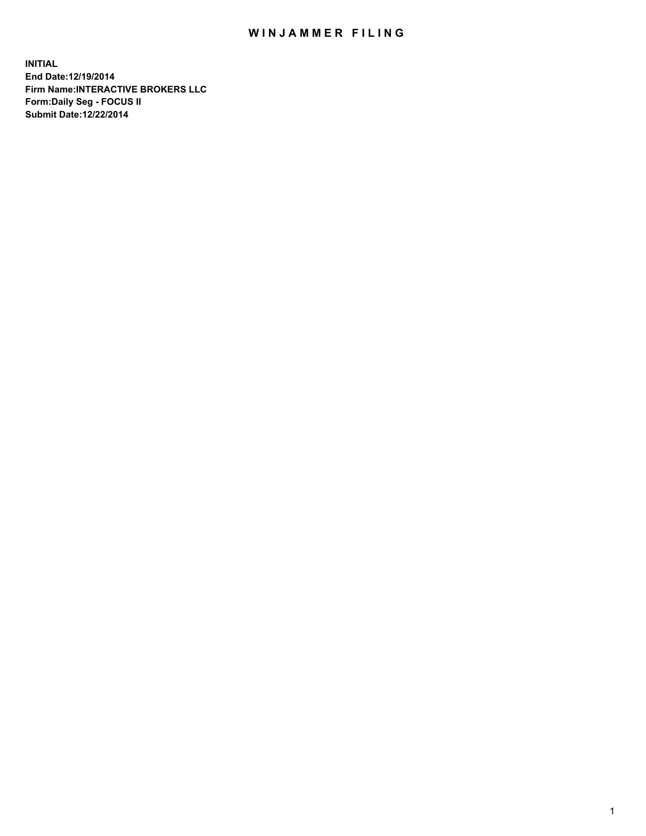## WIN JAMMER FILING

**INITIAL End Date:12/19/2014 Firm Name:INTERACTIVE BROKERS LLC Form:Daily Seg - FOCUS II Submit Date:12/22/2014**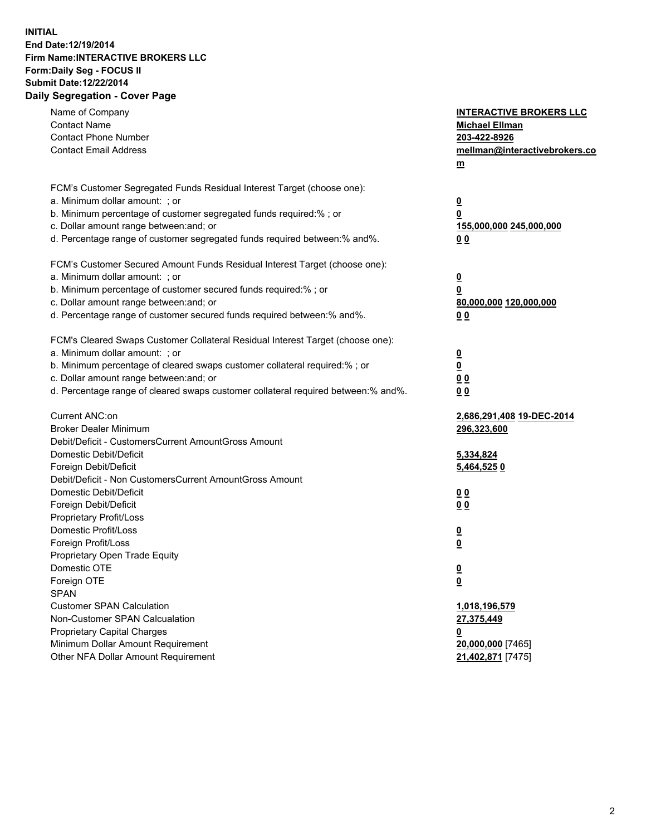## **INITIAL End Date:12/19/2014 Firm Name:INTERACTIVE BROKERS LLC Form:Daily Seg - FOCUS II Submit Date:12/22/2014 Daily Segregation - Cover Page**

| Name of Company<br><b>Contact Name</b><br><b>Contact Phone Number</b><br><b>Contact Email Address</b>                                                                                                                                                                                                                          | <b>INTERACTIVE BROKERS LLC</b><br><b>Michael Ellman</b><br>203-422-8926<br>mellman@interactivebrokers.co<br>$\underline{\mathbf{m}}$ |
|--------------------------------------------------------------------------------------------------------------------------------------------------------------------------------------------------------------------------------------------------------------------------------------------------------------------------------|--------------------------------------------------------------------------------------------------------------------------------------|
| FCM's Customer Segregated Funds Residual Interest Target (choose one):<br>a. Minimum dollar amount: ; or<br>b. Minimum percentage of customer segregated funds required:% ; or<br>c. Dollar amount range between: and; or<br>d. Percentage range of customer segregated funds required between:% and%.                         | <u>0</u><br>0<br><u>155,000,000 245,000,000</u><br>00                                                                                |
| FCM's Customer Secured Amount Funds Residual Interest Target (choose one):<br>a. Minimum dollar amount: ; or<br>b. Minimum percentage of customer secured funds required:% ; or<br>c. Dollar amount range between: and; or<br>d. Percentage range of customer secured funds required between:% and%.                           | <u>0</u><br>0<br>80,000,000 120,000,000<br>0 <sub>0</sub>                                                                            |
| FCM's Cleared Swaps Customer Collateral Residual Interest Target (choose one):<br>a. Minimum dollar amount: ; or<br>b. Minimum percentage of cleared swaps customer collateral required:% ; or<br>c. Dollar amount range between: and; or<br>d. Percentage range of cleared swaps customer collateral required between:% and%. | $\overline{\mathbf{0}}$<br>$\overline{\mathbf{0}}$<br>0 <sub>0</sub><br>0 <sub>0</sub>                                               |
| Current ANC:on<br><b>Broker Dealer Minimum</b><br>Debit/Deficit - CustomersCurrent AmountGross Amount<br>Domestic Debit/Deficit<br>Foreign Debit/Deficit                                                                                                                                                                       | 2,686,291,408 19-DEC-2014<br>296,323,600<br>5,334,824<br>5,464,5250                                                                  |
| Debit/Deficit - Non CustomersCurrent AmountGross Amount<br>Domestic Debit/Deficit<br>Foreign Debit/Deficit<br>Proprietary Profit/Loss<br>Domestic Profit/Loss<br>Foreign Profit/Loss                                                                                                                                           | 0 <sub>0</sub><br>0 <sub>0</sub><br><u>0</u><br>$\underline{\mathbf{0}}$                                                             |
| Proprietary Open Trade Equity<br>Domestic OTE<br>Foreign OTE<br><b>SPAN</b><br><b>Customer SPAN Calculation</b><br>Non-Customer SPAN Calcualation                                                                                                                                                                              | <u>0</u><br><u>0</u><br>1,018,196,579<br>27,375,449                                                                                  |
| <b>Proprietary Capital Charges</b><br>Minimum Dollar Amount Requirement<br>Other NFA Dollar Amount Requirement                                                                                                                                                                                                                 | <u>0</u><br>20,000,000 [7465]<br>21,402,871 [7475]                                                                                   |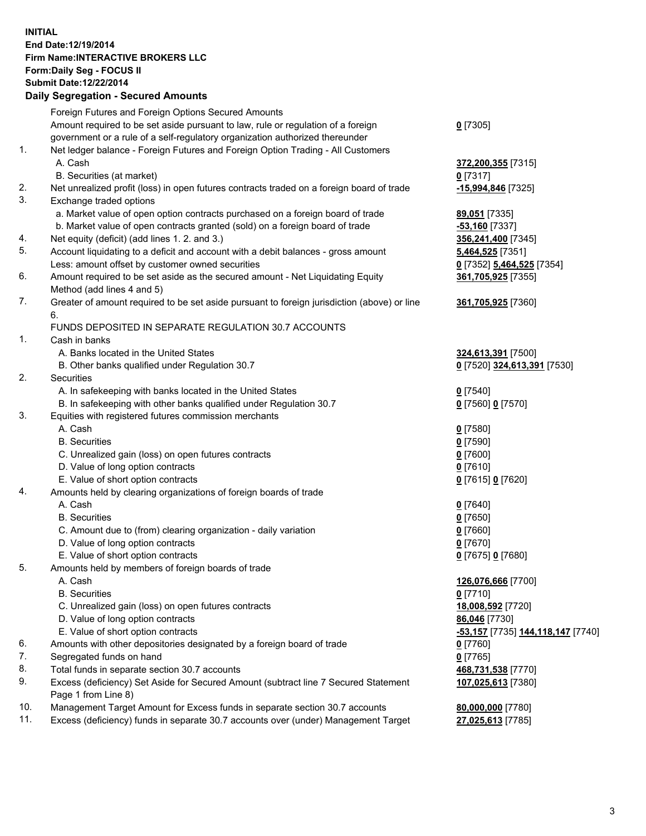## **INITIAL End Date:12/19/2014 Firm Name:INTERACTIVE BROKERS LLC Form:Daily Seg - FOCUS II Submit Date:12/22/2014 Daily Segregation - Secured Amounts**

|                | Daily Ocglegation - Occuled Amounts                                                                        |                                   |
|----------------|------------------------------------------------------------------------------------------------------------|-----------------------------------|
|                | Foreign Futures and Foreign Options Secured Amounts                                                        |                                   |
|                | Amount required to be set aside pursuant to law, rule or regulation of a foreign                           | $0$ [7305]                        |
|                | government or a rule of a self-regulatory organization authorized thereunder                               |                                   |
| 1.             | Net ledger balance - Foreign Futures and Foreign Option Trading - All Customers                            |                                   |
|                | A. Cash                                                                                                    | 372,200,355 [7315]                |
|                | B. Securities (at market)                                                                                  | $0$ [7317]                        |
| 2.             | Net unrealized profit (loss) in open futures contracts traded on a foreign board of trade                  | -15,994,846 [7325]                |
| 3.             | Exchange traded options                                                                                    |                                   |
|                | a. Market value of open option contracts purchased on a foreign board of trade                             | 89,051 [7335]                     |
|                | b. Market value of open contracts granted (sold) on a foreign board of trade                               | $-53,160$ [7337]                  |
| 4.             | Net equity (deficit) (add lines 1.2. and 3.)                                                               | 356,241,400 [7345]                |
| 5.             | Account liquidating to a deficit and account with a debit balances - gross amount                          | <b>5,464,525</b> [7351]           |
|                | Less: amount offset by customer owned securities                                                           | 0 [7352] 5,464,525 [7354]         |
| 6.             | Amount required to be set aside as the secured amount - Net Liquidating Equity                             | 361,705,925 [7355]                |
|                | Method (add lines 4 and 5)                                                                                 |                                   |
| 7.             | Greater of amount required to be set aside pursuant to foreign jurisdiction (above) or line                | 361,705,925 [7360]                |
|                | 6.                                                                                                         |                                   |
|                | FUNDS DEPOSITED IN SEPARATE REGULATION 30.7 ACCOUNTS                                                       |                                   |
| $\mathbf{1}$ . | Cash in banks                                                                                              |                                   |
|                | A. Banks located in the United States                                                                      | 324,613,391 [7500]                |
|                | B. Other banks qualified under Regulation 30.7                                                             | 0 [7520] 324,613,391 [7530]       |
| 2.             | Securities                                                                                                 |                                   |
|                | A. In safekeeping with banks located in the United States                                                  | $0$ [7540]                        |
|                | B. In safekeeping with other banks qualified under Regulation 30.7                                         | 0 [7560] 0 [7570]                 |
| 3.             | Equities with registered futures commission merchants                                                      |                                   |
|                | A. Cash                                                                                                    | $0$ [7580]                        |
|                | <b>B.</b> Securities                                                                                       | $0$ [7590]                        |
|                | C. Unrealized gain (loss) on open futures contracts                                                        | $0$ [7600]                        |
|                | D. Value of long option contracts                                                                          | $0$ [7610]                        |
|                | E. Value of short option contracts                                                                         | 0 [7615] 0 [7620]                 |
| 4.             | Amounts held by clearing organizations of foreign boards of trade                                          |                                   |
|                | A. Cash                                                                                                    | $0$ [7640]                        |
|                | <b>B.</b> Securities                                                                                       | $0$ [7650]                        |
|                | C. Amount due to (from) clearing organization - daily variation                                            | $0$ [7660]                        |
|                | D. Value of long option contracts                                                                          | $0$ [7670]                        |
|                | E. Value of short option contracts                                                                         | 0 [7675] 0 [7680]                 |
| 5.             | Amounts held by members of foreign boards of trade                                                         |                                   |
|                | A. Cash                                                                                                    | 126,076,666 [7700]                |
|                | <b>B.</b> Securities                                                                                       | $0$ [7710]                        |
|                | C. Unrealized gain (loss) on open futures contracts                                                        | 18,008,592 [7720]                 |
|                | D. Value of long option contracts                                                                          | 86,046 [7730]                     |
|                | E. Value of short option contracts                                                                         | -53,157 [7735] 144,118,147 [7740] |
| 6.             | Amounts with other depositories designated by a foreign board of trade                                     | 0 [7760]                          |
| 7.             | Segregated funds on hand                                                                                   | $0$ [7765]                        |
| 8.             | Total funds in separate section 30.7 accounts                                                              | 468,731,538 [7770]                |
| 9.             | Excess (deficiency) Set Aside for Secured Amount (subtract line 7 Secured Statement<br>Page 1 from Line 8) | 107,025,613 [7380]                |
| 10.            | Management Target Amount for Excess funds in separate section 30.7 accounts                                | 80,000,000 [7780]                 |
| 11.            | Excess (deficiency) funds in separate 30.7 accounts over (under) Management Target                         | 27,025,613 [7785]                 |
|                |                                                                                                            |                                   |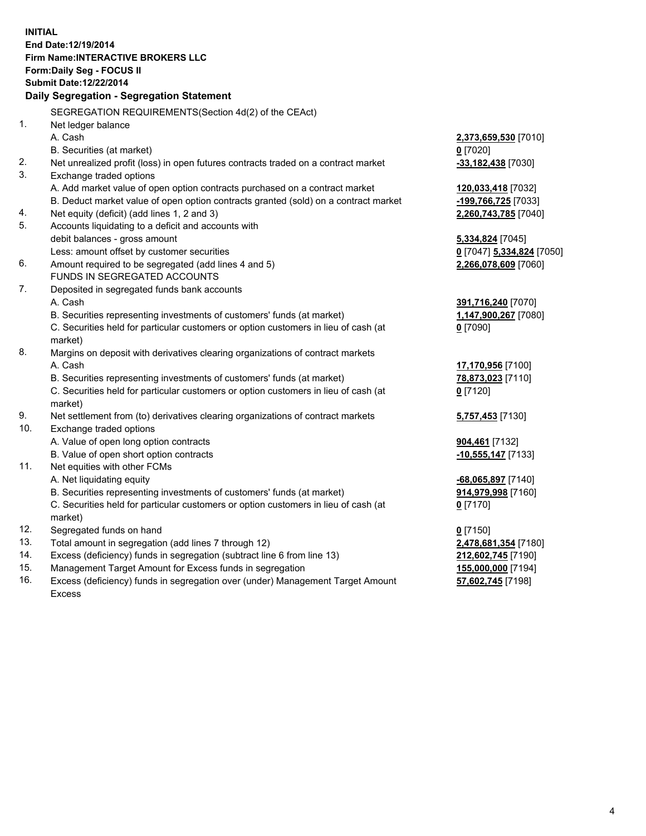**INITIAL End Date:12/19/2014 Firm Name:INTERACTIVE BROKERS LLC Form:Daily Seg - FOCUS II Submit Date:12/22/2014 Daily Segregation - Segregation Statement** SEGREGATION REQUIREMENTS(Section 4d(2) of the CEAct) 1. Net ledger balance A. Cash **2,373,659,530** [7010] B. Securities (at market) **0** [7020] 2. Net unrealized profit (loss) in open futures contracts traded on a contract market **-33,182,438** [7030] 3. Exchange traded options A. Add market value of open option contracts purchased on a contract market **120,033,418** [7032] B. Deduct market value of open option contracts granted (sold) on a contract market **-199,766,725** [7033] 4. Net equity (deficit) (add lines 1, 2 and 3) **2,260,743,785** [7040] 5. Accounts liquidating to a deficit and accounts with debit balances - gross amount **5,334,824** [7045] Less: amount offset by customer securities **0** [7047] **5,334,824** [7050] 6. Amount required to be segregated (add lines 4 and 5) **2,266,078,609** [7060] FUNDS IN SEGREGATED ACCOUNTS 7. Deposited in segregated funds bank accounts A. Cash **391,716,240** [7070] B. Securities representing investments of customers' funds (at market) **1,147,900,267** [7080] C. Securities held for particular customers or option customers in lieu of cash (at market) **0** [7090] 8. Margins on deposit with derivatives clearing organizations of contract markets A. Cash **17,170,956** [7100] B. Securities representing investments of customers' funds (at market) **78,873,023** [7110] C. Securities held for particular customers or option customers in lieu of cash (at market) **0** [7120] 9. Net settlement from (to) derivatives clearing organizations of contract markets **5,757,453** [7130] 10. Exchange traded options A. Value of open long option contracts **904,461** [7132] B. Value of open short option contracts **-10,555,147** [7133] 11. Net equities with other FCMs A. Net liquidating equity **-68,065,897** [7140] B. Securities representing investments of customers' funds (at market) **914,979,998** [7160] C. Securities held for particular customers or option customers in lieu of cash (at market) **0** [7170] 12. Segregated funds on hand **0** [7150] 13. Total amount in segregation (add lines 7 through 12) **2,478,681,354** [7180] 14. Excess (deficiency) funds in segregation (subtract line 6 from line 13) **212,602,745** [7190] 15. Management Target Amount for Excess funds in segregation **155,000,000** [7194]

16. Excess (deficiency) funds in segregation over (under) Management Target Amount Excess

**57,602,745** [7198]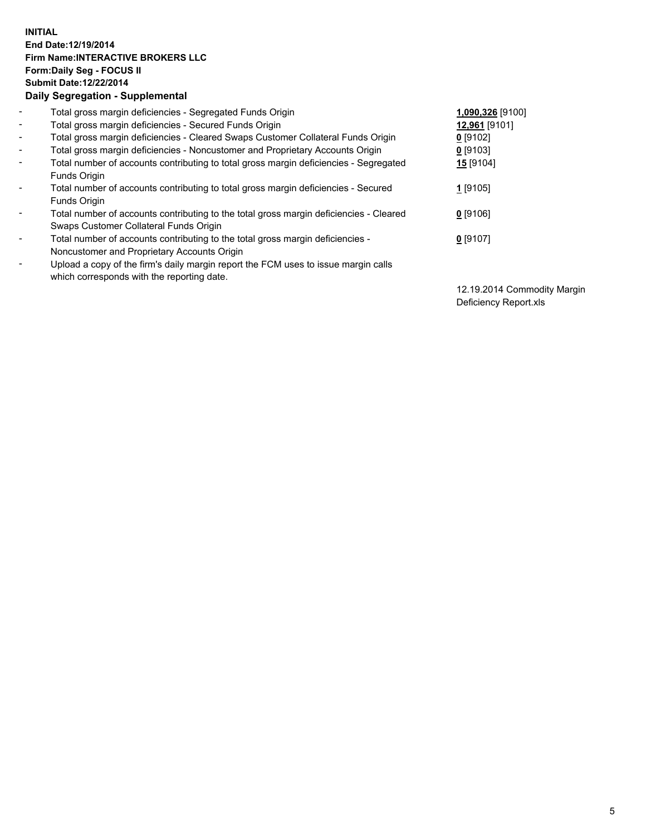## **INITIAL End Date:12/19/2014 Firm Name:INTERACTIVE BROKERS LLC Form:Daily Seg - FOCUS II Submit Date:12/22/2014 Daily Segregation - Supplemental**

| $\overline{\phantom{a}}$ | Total gross margin deficiencies - Segregated Funds Origin                              | 1,090,326 [9100] |
|--------------------------|----------------------------------------------------------------------------------------|------------------|
| $\blacksquare$           | Total gross margin deficiencies - Secured Funds Origin                                 | 12,961 [9101]    |
| $\blacksquare$           | Total gross margin deficiencies - Cleared Swaps Customer Collateral Funds Origin       | $0$ [9102]       |
| $\blacksquare$           | Total gross margin deficiencies - Noncustomer and Proprietary Accounts Origin          | $0$ [9103]       |
| $\blacksquare$           | Total number of accounts contributing to total gross margin deficiencies - Segregated  | <b>15</b> [9104] |
|                          | Funds Origin                                                                           |                  |
| $\sim$                   | Total number of accounts contributing to total gross margin deficiencies - Secured     | 1 [9105]         |
|                          | Funds Origin                                                                           |                  |
| $\overline{\phantom{a}}$ | Total number of accounts contributing to the total gross margin deficiencies - Cleared | $0$ [9106]       |
|                          | Swaps Customer Collateral Funds Origin                                                 |                  |
| $\blacksquare$           | Total number of accounts contributing to the total gross margin deficiencies -         | $0$ [9107]       |
|                          | Noncustomer and Proprietary Accounts Origin                                            |                  |
| $\blacksquare$           | Upload a copy of the firm's daily margin report the FCM uses to issue margin calls     |                  |
|                          | which corresponds with the reporting date.                                             |                  |

12.19.2014 Commodity Margin Deficiency Report.xls